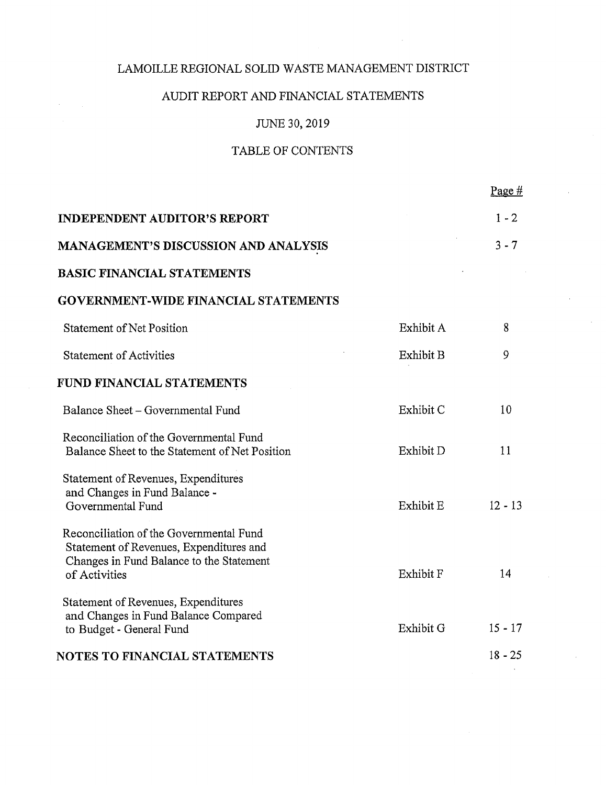# AUDIT REPORT AND FINANCIAL STATEMENTS

# JUNE 30, 2019

# TABLE OF CONTENTS

|                                                                                                                                                 |           | Page $#$  |
|-------------------------------------------------------------------------------------------------------------------------------------------------|-----------|-----------|
| <b>INDEPENDENT AUDITOR'S REPORT</b>                                                                                                             |           | $1 - 2$   |
| <b>MANAGEMENT'S DISCUSSION AND ANALYSIS</b>                                                                                                     |           | $3 - 7$   |
| <b>BASIC FINANCIAL STATEMENTS</b>                                                                                                               |           |           |
| <b>GOVERNMENT-WIDE FINANCIAL STATEMENTS</b>                                                                                                     |           |           |
| <b>Statement of Net Position</b>                                                                                                                | Exhibit A | 8         |
| <b>Statement of Activities</b>                                                                                                                  | Exhibit B | 9         |
| FUND FINANCIAL STATEMENTS                                                                                                                       |           |           |
| Balance Sheet - Governmental Fund                                                                                                               | Exhibit C | 10        |
| Reconciliation of the Governmental Fund<br>Balance Sheet to the Statement of Net Position                                                       | Exhibit D | 11        |
| Statement of Revenues, Expenditures<br>and Changes in Fund Balance -<br>Governmental Fund                                                       | Exhibit E | $12 - 13$ |
| Reconciliation of the Governmental Fund<br>Statement of Revenues, Expenditures and<br>Changes in Fund Balance to the Statement<br>of Activities | Exhibit F | 14        |
| Statement of Revenues, Expenditures<br>and Changes in Fund Balance Compared<br>to Budget - General Fund                                         | Exhibit G | $15 - 17$ |
| NOTES TO FINANCIAL STATEMENTS                                                                                                                   |           | $18 - 25$ |
|                                                                                                                                                 |           |           |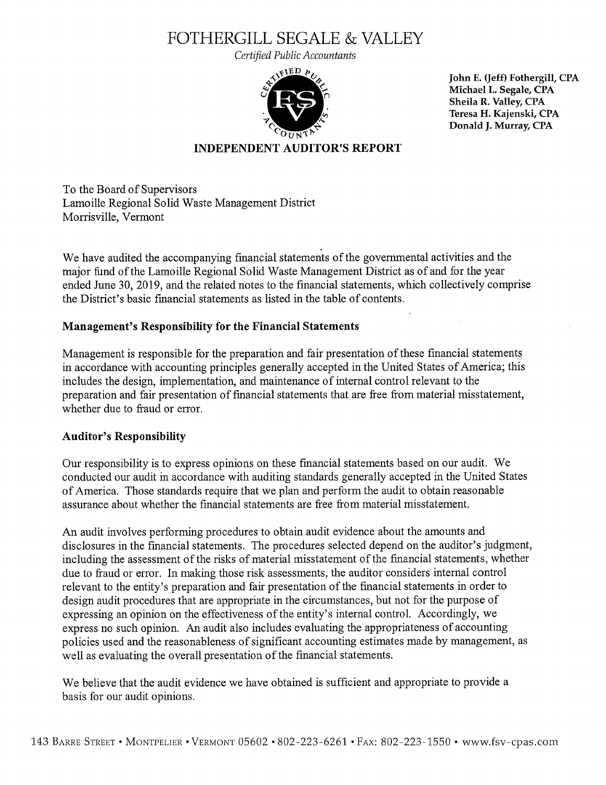# FOTHERGILL SEGALE & VALLEY

Certified Public Accountants



John E. (Jeff) Fothergill, CPA Michael L. Segale, CPA Sheila R. Valley, CPA Teresa H. Kajenski, CPA Donald J. Murray, CPA

# INDEPENDENT AUDITOR'S REPORT

To the Board of Supervisors Lamoille Regional Solid Waste Management District Morrisville, Vermont

We have audited the accompanying financial statements of the governmental activities and the major fund of the Lamoille Regional Solid Waste Management District as of and for the year ended June 30, 2019, and the related notes to the financial statements, Which collectively comprise the District's basic financial statements as listed in the table of contents.

## Management's Responsibility for the Financial Statements

Management is responsible for the preparation and fair presentation of these financial statements in accordance With accounting principles generally accepted in the United States of America; this includes the design, implementation, and maintenance of internal control relevant to the preparation and fair presentation of financial statements that are free from material misstatement, whether due to fraud or error.

#### Auditor's Responsibility

Our responsibility is to express opinions on these financial statements based on our audit. We conducted our audit in accordance with auditing standards generally accepted in the United States of America. Those standards require that we plan and perform the audit to obtain reasonable assurance about whether the financial statements are free fiom material misstatement.

An audit involves performing procedures to obtain audit evidence about the amounts and disclosures in the financial statements. The procedures selected depend on the auditor's judgment, including the assessment of the risks of material misstatement of the financial statements, whether due to fraud or error. In making those risk assessments, the auditor considers internal control relevant to the entity's preparation and fair presentation of the financial statements in order to design audit procedures that are appropriate in the circumstances, but not for the purpose of expressing an opinion on the effectiveness of the entity's internal control. Accordingly, we express no such opinion. An audit also includes evaluating the appropriateness of accounting policies used and the reasonableness of significant accounting estimates made by management, as well as evaluating the overall presentation of the financial statements.

We believe that the audit evidence we have obtained is sufficient and appropriate to provide a basis for our audit opinions.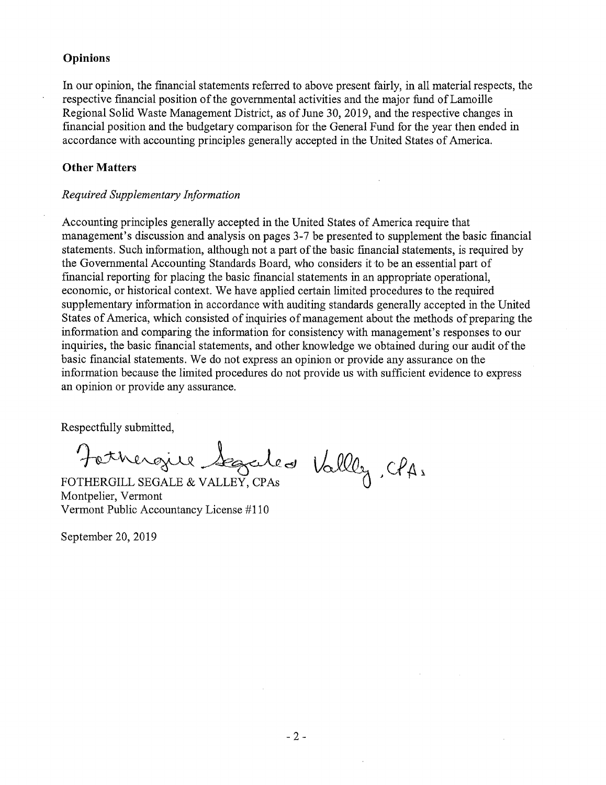#### Opinions

In our opinion, the financial statements referred to above present fairly, in all material respects, the respective financial position of the governmental activities and the major fund of Lamoille Regional Solid Waste Management District, as of June 30, 2019, and the respective changes in financial position and the budgetary comparison for the General Fund for the year then ended in accordance With accounting principles generally accepted in the United States of America.

#### Other Matters

#### Required Supplementary Information

Accounting principles generally accepted in the United States of America require that management's discussion and analysis on pages 3-7 be presented to supplement the basic financial statements. Such information, although not a part of the basic financial statements, is required by the Governmental Accounting Standards Board, who considers it 'to be an essential part of financial reporting for placing the basic financial statements in an appropriate operational, economic, or historical context. We have applied certain limited procedures to the required supplementary information in accordance With auditing standards generally accepted in the United States of America, which consisted of inquiries of management about the methods ofpreparing the information and comparing the information for consistency With management's responses to our inquiries, the basic financial statements, and other knowledge we obtained during our audit of the basic financial statements. We do not express an opinion or provide any assurance on the information because the limited procedures do not provide us With sufficient evidence to express an opinion or provide any assurance.

Respectfillly submitted,

Fathergile Segales Valle, CPA. athergie

Montpelier, Vermont Vermont Public Accountancy License #110

September 20, 2019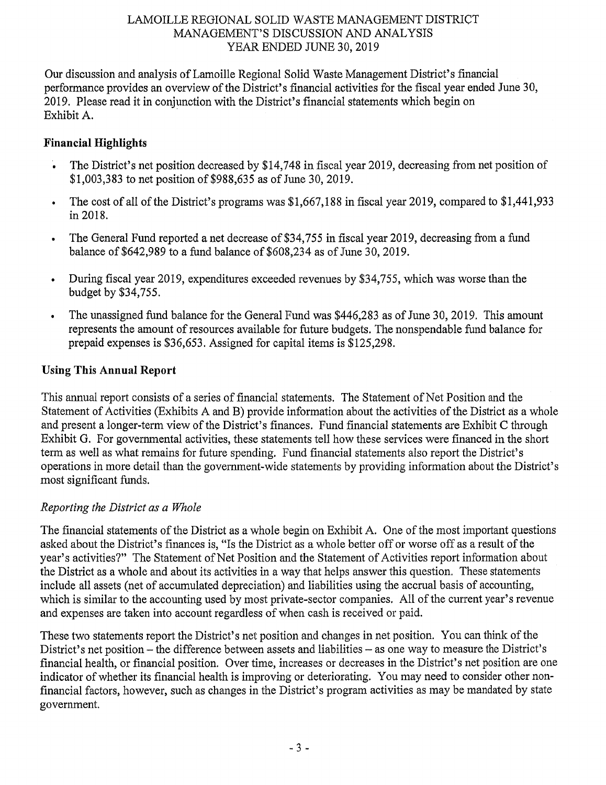# LAMOILLE REGIONAL SOLID WASTE MANAGEMENT DISTRICT MANAGEMENT'S DISCUSSION AND ANALYSIS YEAR ENDED JUNE 30, 2019

Our discussion and analysis of Lamoille Regional Solid Waste Management District's financial performance provides an overview of the District's financial activities for the fiscal year ended June 30, 2019. Please read it in conjunction with the District's financial statements which begin on Exhibit A.

# Financial Highlights

- The District's net position decreased by \$14,748 in fiscal year 2019, decreasing from net position of \$1,003,383 to net position of \$988,635 as of June 30, 2019.
- The cost of all of the District's programs was \$1,667,188 in fiscal year 2019, compared to \$1,441,933 in 2018.
- The General Fund reported a net decrease of \$34,755 in fiscal year 2019, decreasing from a fund balance of  $$642,989$  to a fund balance of  $$608,234$  as of June 30, 2019.
- During fiscal year 2019, expenditures exceeded revenues by \$34,755, which was worse than the  $\bullet$ budget by \$34,755.
- . The unassigned fimd balance for the General Fund was \$446,283 as of June 30, 2019. This amount represents the amount of resources available for future budgets. The nonspendable fund balance for prepaid expenses is \$36,653. Assigned for capital items is \$125,298.

# Using This Annual Report

This annual report consists of a series of financial statements. The Statement of Net Position and the Statement of Activities (Exhibits A and B) provide information about the activities of the District as a whole and present a longer-term view of the District's finances. Fund financial statements are Exhibit C through Exhibit G. For governmental activities, these statements tell how these services were financed in the short term as well as what remains for future spending. Fund financial statements also report the District's operations in more detail than the government-wide statements by providing information about the District's most significant funds.

# Reporting the District as a Whole

The financial statements of the District as a whole begin on Exhibit A. One of the most important questions asked about the District's finances is, "Is the District as a whole better off or worse off as a result of the year's activities?" The Statement of Net Position and the Statement of Activities report information about the District as a whole and about its activities in a way that helps answer this question. These statements include all assets (net of accumulated depreciation) and liabilities using the accrual basis of accounting, which is similar to the accounting used by most private-sector companies. All of the current year's revenue and expenses are taken into account regardless of when cash is received or paid.

These two statements report the District's net position and changes in net position. You can think of the District's net position — the difference between assets and liabilities — as one way to measure the District's financial health, or financial position. Over time, increases or decreases in the District's net position are one indicator of whether its financial health is improving or deteriorating. You may need to consider other nonfinancial factors, however, such as changes in the District's program activities as may be mandated by state government.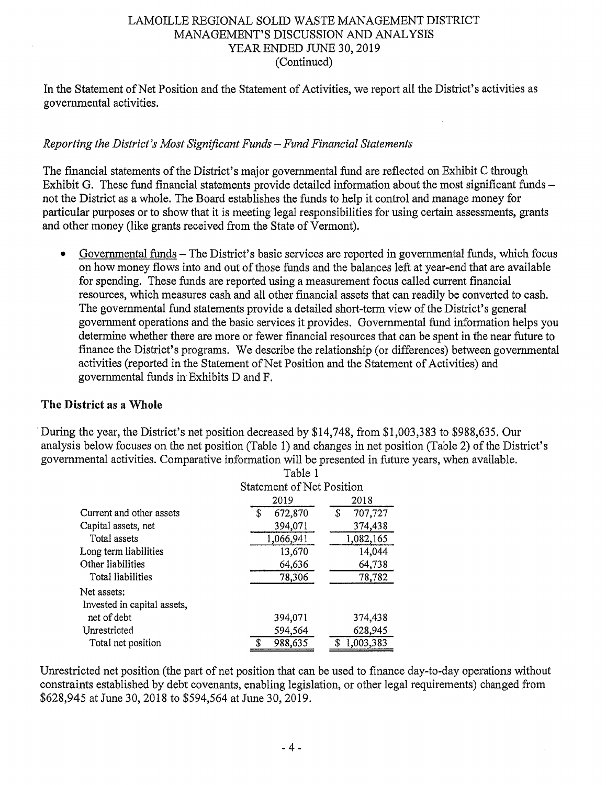# LAMOILLE REGIONAL SOLID WASTE MANAGEMENT DISTRICT MANAGEMENT'S DISCUSSION AND ANALYSIS YEAR ENDED JUNE 30, 2019 (Continued)

In the Statement of Net Position and the Statement of Activities, we report all the District's activities as governmental activities.

# Reporting the District's Most Significant Funds — Fund Financial Statements

The financial statements of the District's major governmental fund are reflected on Exhibit C through Exhibit G. These fund financial statements provide detailed information about the most significant funds not the District as a whole. The Board establishes the funds to help it control and manage money for particular purposes or to show that it is meeting legal responsibilities for using certain assessments, grants and other money (like grants received from the State of Vermont).

Governmental funds — The District's basic services are reported in governmental funds, which focus  $\bullet$ on how money flows into and out of those funds and the balances left at year-end that are available for spending. These funds are reported using a measurement focus called current financial resources, which measures cash and all other financial assets that can readily be converted to cash. The governmental fund statements provide a detailed short-term view of the District's general government operations and the basic services it provides. Governmental fund information helps you determine whether there are more or fewer financial resources that can be spent in the near future to finance the District's programs. We describe the relationship (or differences) between governmental activities (reported in the Statement of Net Position and the Statement of Activities) and governmental funds in Exhibits D and F.

#### The District as a Whole

During the year, the District's net position decreased by \$14,748, from \$1,003,383 to \$988,635. Our analysis below focuses on the net position (Table 1) and changes in net position (Table 2) of the District's governmental activities. Comparative information will be presented in future years, when available.

| Table I                          |                |  |  |
|----------------------------------|----------------|--|--|
| <b>Statement of Net Position</b> |                |  |  |
| 2019                             | 2018           |  |  |
| 672,870<br>\$                    | \$<br>707,727  |  |  |
| 394,071                          | 374,438        |  |  |
| 1,066,941                        | 1,082,165      |  |  |
| 13,670                           | 14,044         |  |  |
| 64,636                           | 64,738         |  |  |
| 78,306                           | 78,782         |  |  |
|                                  |                |  |  |
|                                  |                |  |  |
| 394,071                          | 374,438        |  |  |
| 594,564                          | 628,945        |  |  |
| 988,635                          | 1,003,383<br>S |  |  |
|                                  |                |  |  |

Unrestricted net position (the part of net position that can be used to finance day-to-day operations without constraints established by debt covenants, enabling legislation, or other legal requirements) changed from \$628,945 at June 30, 2018 to \$594,564 at June 30, 2019.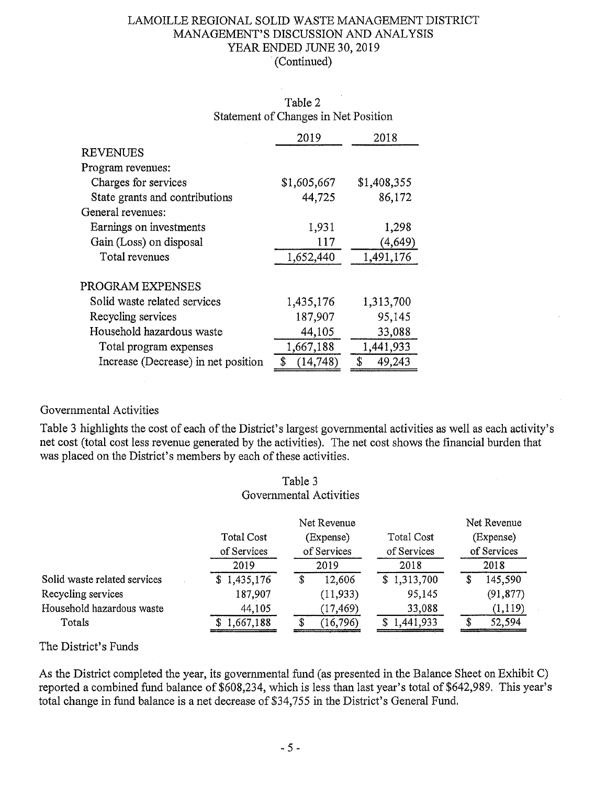# LAMOILLE REGIONAL SOLID WASTE MANAGEMENT DISTRICT MANAGEMENT'S DIS CUSSION AND ANALYSIS YEAR ENDED JUNE 30, 2019 (Continued)

|                                     | Diacontonic Ox Changed in 1900. Control |              |  |  |
|-------------------------------------|-----------------------------------------|--------------|--|--|
|                                     | 2019                                    | 2018         |  |  |
| <b>REVENUES</b>                     |                                         |              |  |  |
| Program revenues:                   |                                         |              |  |  |
| Charges for services                | \$1,605,667                             | \$1,408,355  |  |  |
| State grants and contributions      | 44,725                                  | 86,172       |  |  |
| General revenues:                   |                                         |              |  |  |
| Earnings on investments             | 1,931                                   | 1,298        |  |  |
| Gain (Loss) on disposal             | 117                                     | (4,649)      |  |  |
| Total revenues                      | 1,652,440                               | 1,491,176    |  |  |
| <b>PROGRAM EXPENSES</b>             |                                         |              |  |  |
| Solid waste related services        | 1,435,176                               | 1,313,700    |  |  |
| Recycling services                  | 187,907                                 | 95,145       |  |  |
| Household hazardous waste           | 44,105                                  | 33,088       |  |  |
| Total program expenses              | 1,667,188                               | 1,441,933    |  |  |
| Increase (Decrease) in net position | \$<br>(14, 748)                         | \$<br>49,243 |  |  |

# Table 2 Statement of Changes in Net Position

# Governmental Activities

Table 3 highlights the cost of each of the District's largest governmental activities as well as each activity's net cost (total cost less revenue generated by the activities). The net cost shows the financial burden that was placed on the District's members by each of these activities.

# Table 3 Governmental Activities

|                              |             | Net Revenue |             |             | Net Revenue |             |
|------------------------------|-------------|-------------|-------------|-------------|-------------|-------------|
|                              | Total Cost  |             | (Expense)   | Total Cost  |             | (Expense)   |
|                              | of Services |             | of Services | of Services |             | of Services |
|                              | 2019        |             | 2019        | 2018        |             | 2018        |
| Solid waste related services | \$1,435,176 | S           | 12,606      | \$1,313,700 | \$          | 145,590     |
| Recycling services           | 187,907     |             | (11, 933)   | 95,145      |             | (91, 877)   |
| Household hazardous waste    | 44,105      |             | (17, 469)   | 33,088      |             | (1, 119)    |
| Totals                       | 1,667,188   |             | (16, 796)   | 1,441,933   | S           | 52,594      |
|                              |             |             |             |             |             |             |

# The District's Funds

As the District completed the year, its governmental fund (as presented in the Balance Sheet on Exhibit C) reported a combined fund balance of \$608,234, which is less than last year's total of \$642,989. This year's total change in fund balance is a net decrease of \$34,755 in the District's General Fund.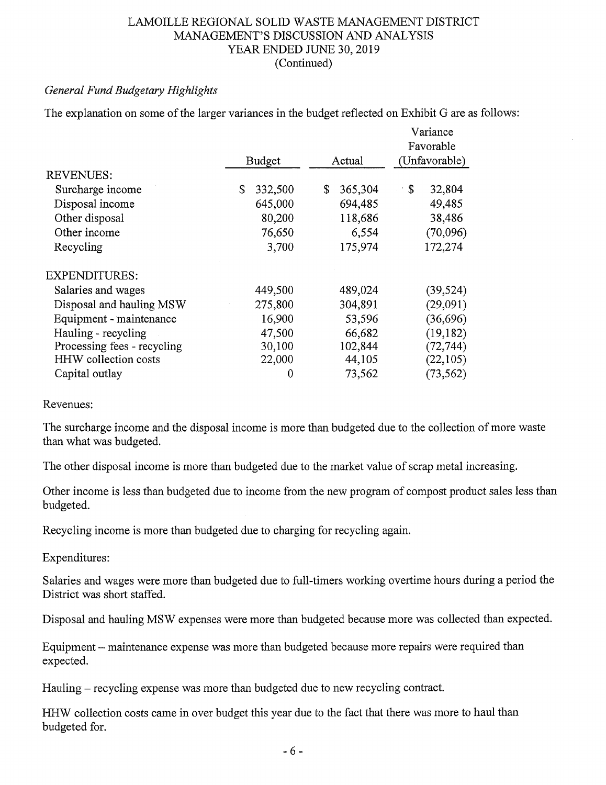# LAMOILLE REGIONAL SOLID WASTE MANAGEMENT DISTRICT MANAGEMENT'S DISCUSSION AND ANALYSIS YEAR ENDED JUNE 30, 2019 (Continued)

# General Fund Budgetary Highlights

The explanation on some of the larger variances in the budget reflected on Exhibit G are as follows:

|                             |               |         |        |         | Variance<br>Favorable |
|-----------------------------|---------------|---------|--------|---------|-----------------------|
|                             | <b>Budget</b> |         | Actual |         | (Unfavorable)         |
| <b>REVENUES:</b>            |               |         |        |         |                       |
| Surcharge income            | \$            | 332,500 | \$     | 365,304 | \$<br>32,804          |
| Disposal income             |               | 645,000 |        | 694,485 | 49,485                |
| Other disposal              |               | 80,200  |        | 118,686 | 38,486                |
| Other income                |               | 76,650  |        | 6,554   | (70,096)              |
| Recycling                   |               | 3,700   |        | 175,974 | 172,274               |
| <b>EXPENDITURES:</b>        |               |         |        |         |                       |
| Salaries and wages          |               | 449,500 |        | 489,024 | (39, 524)             |
| Disposal and hauling MSW    |               | 275,800 |        | 304,891 | (29,091)              |
| Equipment - maintenance     |               | 16,900  |        | 53,596  | (36, 696)             |
| Hauling - recycling         |               | 47,500  |        | 66,682  | (19, 182)             |
| Processing fees - recycling |               | 30,100  |        | 102,844 | (72, 744)             |
| <b>HHW</b> collection costs |               | 22,000  |        | 44,105  | (22,105)              |
| Capital outlay              |               | 0       |        | 73,562  | (73, 562)             |

#### Revenues:

The surcharge income and the disposal income is more than budgeted due to the collection of more waste than what was budgeted.

The other disposal income is more than budgeted due to the market value of scrap metal increasing.

Other income is less than budgeted due to income from the new program of compost product sales less than budgeted.

Recycling income is more than budgeted due to charging for recycling again.

Expenditures:

Salaries and wages were more than budgeted due to fulI-timers working overtime hours during a period the District was short staffed.

Disposal and hauling MSW expenses were more than budgeted because more was collected than expected.

Equipment — maintenance expense was more than budgeted because more repairs were required than expected.

Hauling — recycling expense was more than budgeted due to new recycling contract.

HHW collection costs came in over budget this year due to the fact that there was more to haul than budgeted for.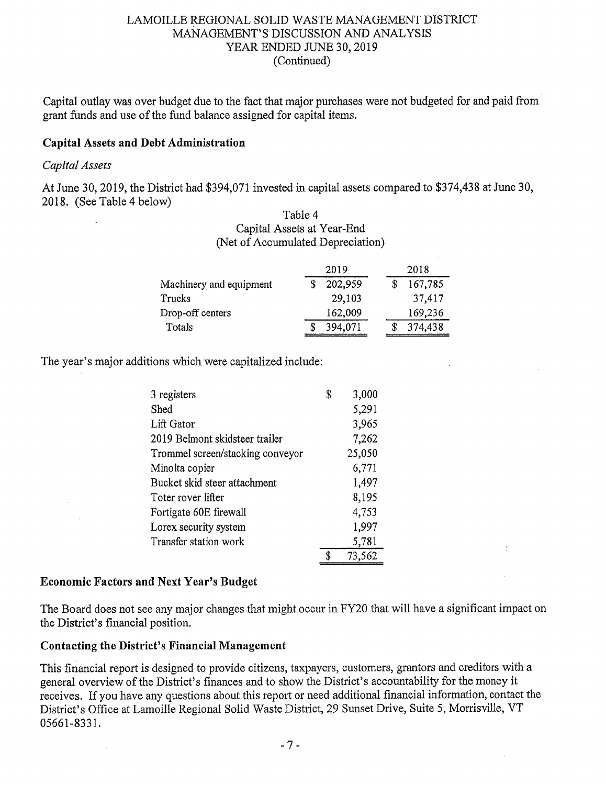# LAMOILLE REGIONAL SOLID WASTE MANAGEMENT DISTRICT MANAGEMENT'S DISCUSSION AND ANALYSIS YEAR ENDED JUNE 30, 2019 (Continued)

Capital outlay was over budget due to the fact that major purchases were not budgeted for and paid from grant funds and use of the fund balance assigned for capital items.

## Capital Assets and Debt Administration

## Capital Assets

At June 30, 2019, the District had \$394,071 invested in capital assets compared to \$374,438 at June 30, 2018. (See Table 4 below)

#### Table 4 Capital Assets at Year—End (Net of Accumulated Depreciation)

|                         | 2019    | 2018    |
|-------------------------|---------|---------|
| Machinery and equipment | 202,959 | 167,785 |
| Trucks                  | 29,103  | 37,417  |
| Drop-off centers        | 162,009 | 169,236 |
| Totals                  | 394,071 | 374,438 |

The year's major additions which were capitalized include:

| 3 registers                      | \$ | 3,000  |
|----------------------------------|----|--------|
| Shed                             |    | 5,291  |
| Lift Gator                       |    | 3,965  |
| 2019 Belmont skidsteer trailer   |    | 7,262  |
| Trommel screen/stacking conveyor |    | 25,050 |
| Minolta copier                   |    | 6,771  |
| Bucket skid steer attachment     |    | 1,497  |
| Toter rover lifter               |    | 8,195  |
| Fortigate 60E firewall           |    | 4,753  |
| Lorex security system            |    | 1,997  |
| Transfer station work            |    | 5,781  |
|                                  | S  | 73,562 |

# Economic Factors and Next Year's Budget

The Board does not see any major changes that might occur in FY20 that will have a significant impact on the District's financial position.

# Contacting the District's Financial Management

This financial report is designed to provide citizens, taxpayers, customers, grantors and creditors with a general overview of the District's finances and to show the District's accountability for the money it receives. If you have any questions about this report or need additional financial information, contact the District's Office at Lamoille Regional Solid Waste District, <sup>29</sup> Sunset Drive, Suite 5, Morrisville, VT 05661-8331.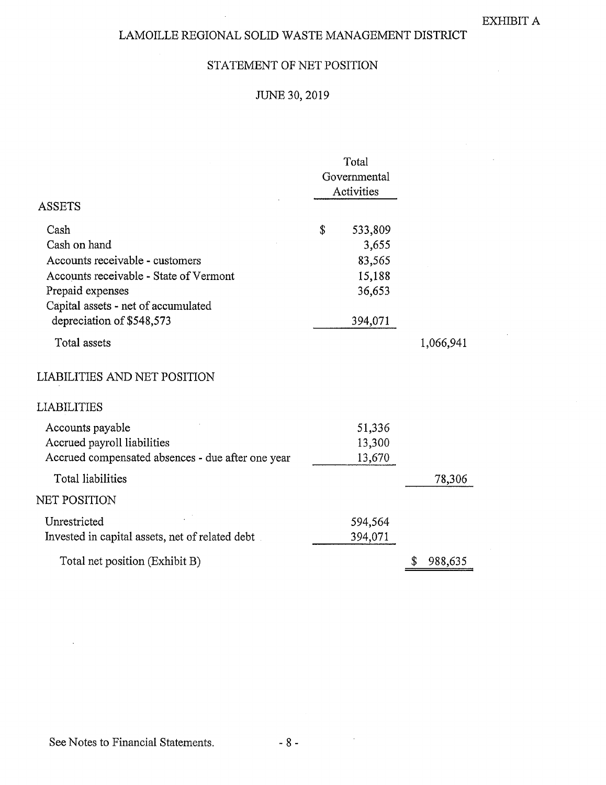$\sim$ 

# LAMOILLE REGIONAL SOLID WASTE MANAGEMENT DISTRICT

# STATEMENT OF NET POSITION

# UNE 30, 2019

|                                                   | Total<br>Governmental<br>Activities |               |
|---------------------------------------------------|-------------------------------------|---------------|
| <b>ASSETS</b>                                     |                                     |               |
| Cash                                              | \$<br>533,809                       |               |
| Cash on hand                                      | 3,655                               |               |
| Accounts receivable - customers                   | 83,565                              |               |
| Accounts receivable - State of Vermont            | 15,188                              |               |
| Prepaid expenses                                  | 36,653                              |               |
| Capital assets - net of accumulated               |                                     |               |
| depreciation of \$548,573                         | 394,071                             |               |
| Total assets                                      |                                     | 1,066,941     |
| <b>LIABILITIES AND NET POSITION</b>               |                                     |               |
| <b>LIABILITIES</b>                                |                                     |               |
| Accounts payable                                  | 51,336                              |               |
| Accrued payroll liabilities                       | 13,300                              |               |
| Accrued compensated absences - due after one year | 13,670                              |               |
| <b>Total liabilities</b>                          |                                     | 78,306        |
| <b>NET POSITION</b>                               |                                     |               |
| Unrestricted                                      | 594,564                             |               |
| Invested in capital assets, net of related debt   | 394,071                             |               |
| Total net position (Exhibit B)                    |                                     | 988,635<br>\$ |

 $\mathcal{L}$ 

—

 $\sim$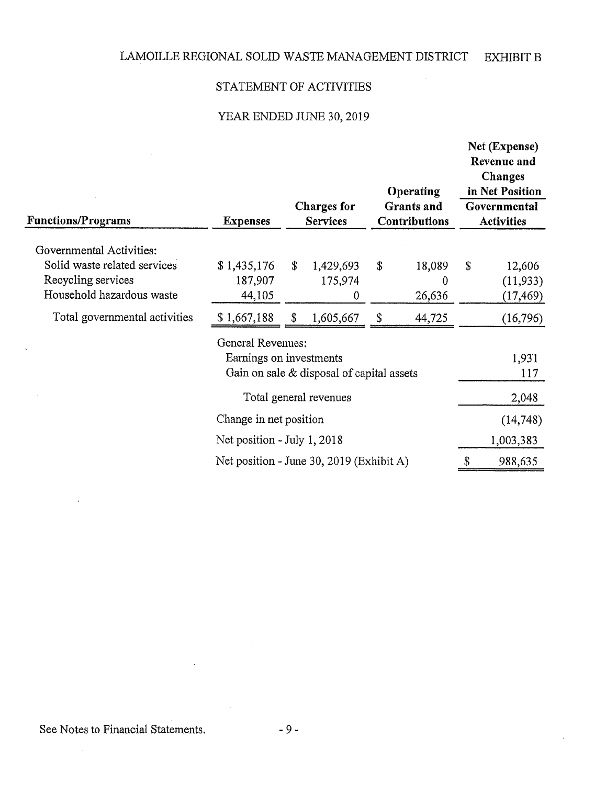# STATEMENT OF ACTIVITIES

# YEAR ENDED JUNE 30, 2019

| <b>Functions/Programs</b>                                                                                   | <b>Expenses</b>                              | <b>Charges for</b><br><b>Services</b>        | Operating<br><b>Grants</b> and<br><b>Contributions</b> | Net (Expense)<br>Revenue and<br><b>Changes</b><br>in Net Position<br>Governmental<br><b>Activities</b> |
|-------------------------------------------------------------------------------------------------------------|----------------------------------------------|----------------------------------------------|--------------------------------------------------------|--------------------------------------------------------------------------------------------------------|
| Governmental Activities:<br>Solid waste related services<br>Recycling services<br>Household hazardous waste | \$1,435,176<br>187,907<br>44,105             | \$<br>1,429,693<br>175,974<br>0              | \$<br>18,089<br>0<br>26,636                            | \$<br>12,606<br>(11, 933)<br>(17,469)                                                                  |
| Total governmental activities                                                                               | \$1,667,188                                  | \$<br>1,605,667                              | \$<br>44,725                                           | (16, 796)                                                                                              |
|                                                                                                             | General Revenues:<br>Earnings on investments | Gain on sale $\&$ disposal of capital assets |                                                        | 1,931<br>117                                                                                           |
|                                                                                                             |                                              | Total general revenues                       |                                                        | 2,048                                                                                                  |
|                                                                                                             | Change in net position                       |                                              |                                                        | (14, 748)                                                                                              |
|                                                                                                             | Net position - July 1, 2018                  |                                              |                                                        | 1,003,383                                                                                              |
|                                                                                                             | Net position - June 30, 2019 (Exhibit A)     |                                              |                                                        | \$<br>988,635                                                                                          |

# See Notes to Financial Statements.

 $\bar{\mathcal{A}}$ 

 $\mathcal{A}^{\mathcal{A}}$ 

 $\ddot{\phantom{1}}$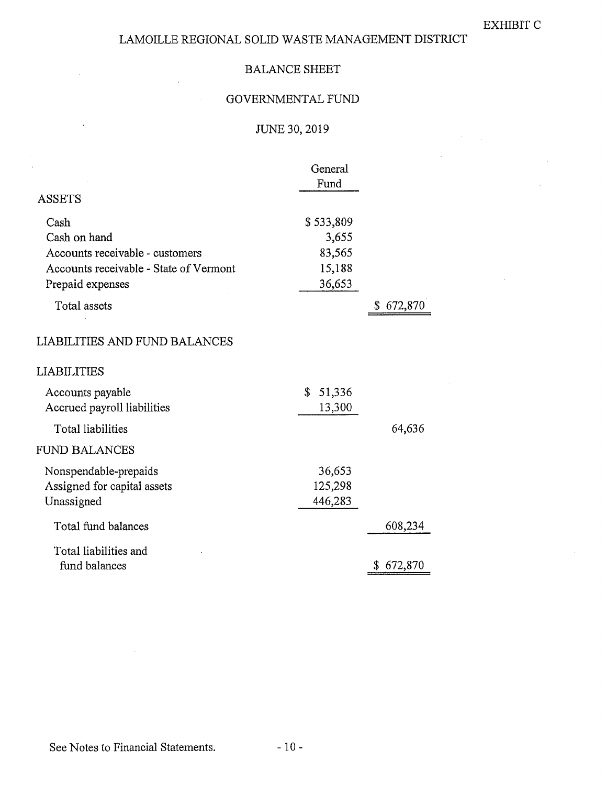# BALANCE SHEET

# GOVERNMENTAL FUND

# JUNE 30, 2019

|                                                                                                                       | General<br>Fund                                  |               |
|-----------------------------------------------------------------------------------------------------------------------|--------------------------------------------------|---------------|
| <b>ASSETS</b>                                                                                                         |                                                  |               |
| Cash<br>Cash on hand<br>Accounts receivable - customers<br>Accounts receivable - State of Vermont<br>Prepaid expenses | \$533,809<br>3,655<br>83,565<br>15,188<br>36,653 |               |
| Total assets                                                                                                          |                                                  | 672,870<br>\$ |
| LIABILITIES AND FUND BALANCES<br>LIABILITIES                                                                          |                                                  |               |
| Accounts payable<br>Accrued payroll liabilities<br><b>Total liabilities</b>                                           | \$<br>51,336<br>13,300                           | 64,636        |
| <b>FUND BALANCES</b>                                                                                                  |                                                  |               |
| Nonspendable-prepaids<br>Assigned for capital assets<br>Unassigned                                                    | 36,653<br>125,298<br>446,283                     |               |
| Total fund balances                                                                                                   |                                                  | 608,234       |
| Total liabilities and<br>fund balances                                                                                |                                                  | \$672,870     |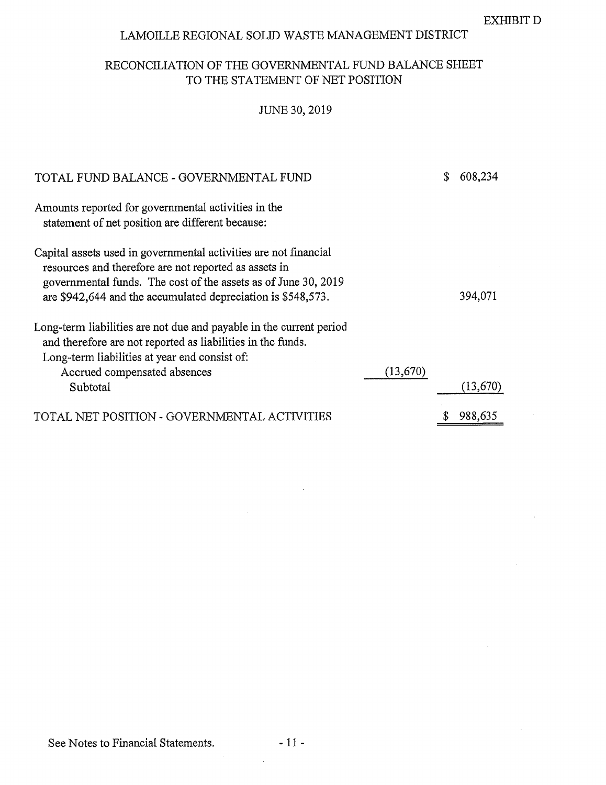# RECONCILIATION OF THE GOVERNMENTAL FUND BALANCE SHEET TO THE STATEMENT OF NET POSITION

# JUNE 30, 2019

| TOTAL FUND BALANCE - GOVERNMENTAL FUND                                                                                                                                                                                                                      | 608,234   |
|-------------------------------------------------------------------------------------------------------------------------------------------------------------------------------------------------------------------------------------------------------------|-----------|
| Amounts reported for governmental activities in the<br>statement of net position are different because:                                                                                                                                                     |           |
| Capital assets used in governmental activities are not financial<br>resources and therefore are not reported as assets in<br>governmental funds. The cost of the assets as of June 30, 2019<br>are \$942,644 and the accumulated depreciation is \$548,573. | 394,071   |
| Long-term liabilities are not due and payable in the current period<br>and therefore are not reported as liabilities in the funds.<br>Long-term liabilities at year end consist of:<br>Accrued compensated absences<br>(13,670)<br>Subtotal                 | (13, 670) |
| TOTAL NET POSITION - GOVERNMENTAL ACTIVITIES                                                                                                                                                                                                                | 988,635   |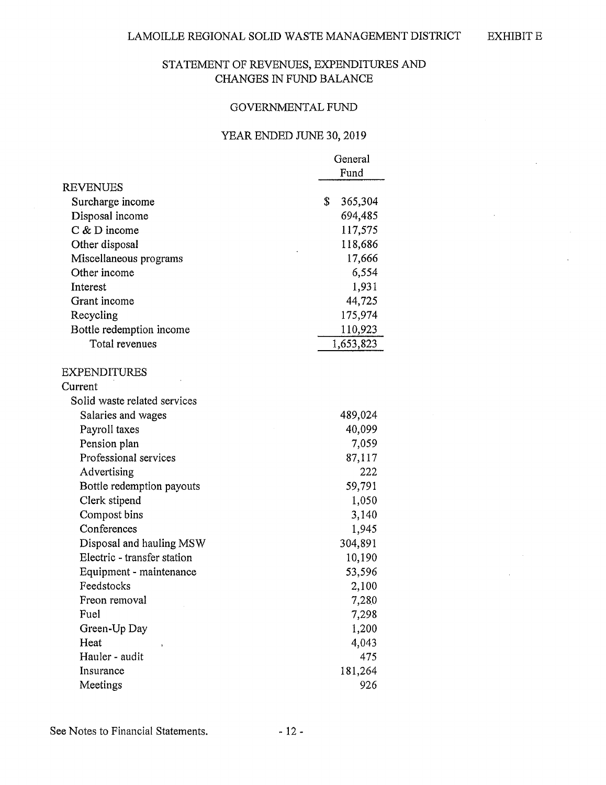# STATEMENT OF REVENUES, EXPENDITURES AND CHANGES IN FUND BALANCE

# GOVERNMENTAL FUND

## YEAR ENDED JUNE 30, 2019

|                              | General       |
|------------------------------|---------------|
|                              | Fund          |
| <b>REVENUES</b>              |               |
| Surcharge income             | \$<br>365,304 |
| Disposal income              | 694,485       |
| $C$ & D income               | 117,575       |
| Other disposal               | 118,686       |
| Miscellaneous programs       | 17,666        |
| Other income                 | 6,554         |
| Interest                     | 1,931         |
| Grant income                 | 44,725        |
| Recycling                    | 175,974       |
| Bottle redemption income     | 110,923       |
| Total revenues               | 1,653,823     |
|                              |               |
| <b>EXPENDITURES</b>          |               |
| Current                      |               |
| Solid waste related services |               |
| Salaries and wages           | 489,024       |
| Payroll taxes                | 40,099        |
| Pension plan                 | 7,059         |
| Professional services        | 87,117        |
| Advertising                  | 222           |
| Bottle redemption payouts    | 59,791        |
| Clerk stipend                | 1,050         |
| Compost bins                 | 3,140         |
| Conferences                  | 1,945         |
| Disposal and hauling MSW     | 304,891       |
| Electric - transfer station  | 10,190        |
| Equipment - maintenance      | 53,596        |
| Feedstocks                   | 2,100         |
| Freon removal                | 7,280         |
| Fuel                         | 7,298         |
| Green-Up Day                 | 1,200         |
| Heat<br>ś                    | 4,043         |
| Hauler - audit               | 475           |
| Insurance                    | 181,264       |
| Meetings                     | 926           |

See Notes to Financial Statements. - 12 -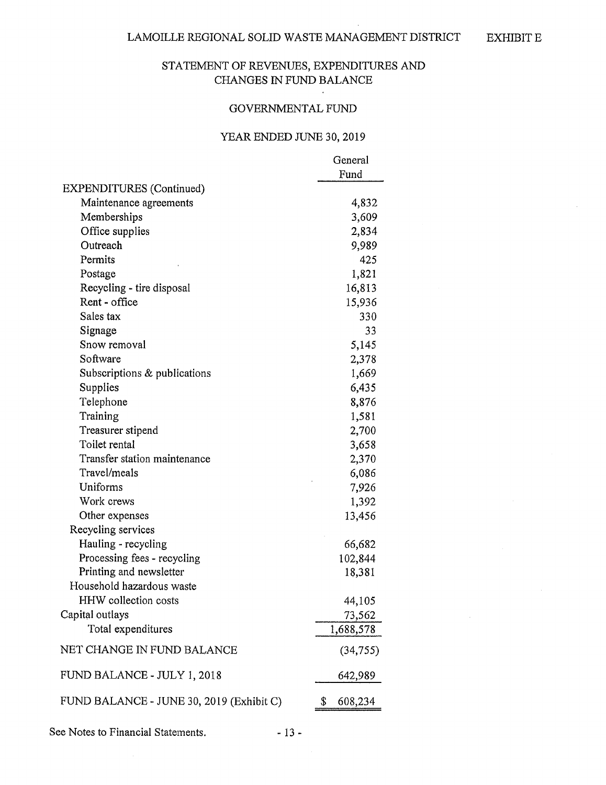# STATEMENT OF REVENUES, EXPENDITURES AND CHANGES IN FUND BALANCE

#### GOVERNMENTAL FUND

## YEAR ENDED JUNE 30, 2019

|                                          | General       |
|------------------------------------------|---------------|
|                                          | Fund          |
| <b>EXPENDITURES</b> (Continued)          |               |
| Maintenance agreements                   | 4,832         |
| Memberships                              | 3,609         |
| Office supplies                          | 2,834         |
| Outreach                                 | 9,989         |
| Permits                                  | 425           |
| Postage                                  | 1,821         |
| Recycling - tire disposal                | 16,813        |
| Rent - office                            | 15,936        |
| Sales tax                                | 330           |
| Signage                                  | 33            |
| Snow removal                             | 5,145         |
| Software                                 | 2,378         |
| Subscriptions & publications             | 1,669         |
| Supplies                                 | 6,435         |
| Telephone                                | 8,876         |
| Training                                 | 1,581         |
| Treasurer stipend                        | 2,700         |
| Toilet rental                            | 3,658         |
| Transfer station maintenance             | 2,370         |
| Travel/meals                             | 6,086         |
| Uniforms                                 | 7,926         |
| Work crews                               | 1,392         |
| Other expenses                           | 13,456        |
| Recycling services                       |               |
| Hauling - recycling                      | 66,682        |
| Processing fees - recycling              | 102,844       |
| Printing and newsletter                  | 18,381        |
| Household hazardous waste                |               |
| HHW collection costs                     | 44,105        |
| Capital outlays                          | 73,562        |
| Total expenditures                       | 1,688,578     |
| NET CHANGE IN FUND BALANCE               | (34, 755)     |
| FUND BALANCE - JULY 1, 2018              | 642,989       |
| FUND BALANCE - JUNE 30, 2019 (Exhibit C) | \$<br>608,234 |

See Notes to Financial Statements.  $\sim 13 - 13$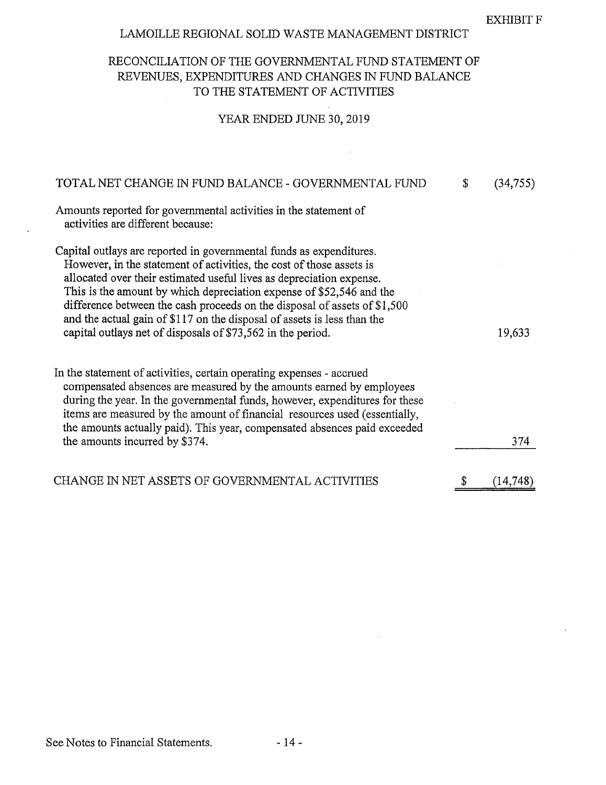EXHIBIT

#### LAMOILLE REGIONAL SOLID WASTE MANAGEMENT DISTRICT

# RECONCILIATION OF THE GOVERNMENTAL FUND STATEMENT OF REVENUES, EXPENDITURES AND CHANGES IN FUND BALANCE TO THE STATEMENT OF ACTIVITIES

## YEAR ENDED JUNE 30, 2019

| TOTAL NET CHANGE IN FUND BALANCE - GOVERNMENTAL FUND                                                                                                                                                                                                                                                                                                                                                                                                                                                               | \$<br>(34,755) |
|--------------------------------------------------------------------------------------------------------------------------------------------------------------------------------------------------------------------------------------------------------------------------------------------------------------------------------------------------------------------------------------------------------------------------------------------------------------------------------------------------------------------|----------------|
| Amounts reported for governmental activities in the statement of<br>activities are different because:                                                                                                                                                                                                                                                                                                                                                                                                              |                |
| Capital outlays are reported in governmental funds as expenditures.<br>However, in the statement of activities, the cost of those assets is<br>allocated over their estimated useful lives as depreciation expense.<br>This is the amount by which depreciation expense of \$52,546 and the<br>difference between the cash proceeds on the disposal of assets of \$1,500<br>and the actual gain of \$117 on the disposal of assets is less than the<br>capital outlays net of disposals of \$73,562 in the period. | 19,633         |
| In the statement of activities, certain operating expenses - accrued<br>compensated absences are measured by the amounts earned by employees<br>during the year. In the governmental funds, however, expenditures for these<br>items are measured by the amount of financial resources used (essentially,<br>the amounts actually paid). This year, compensated absences paid exceeded<br>the amounts incurred by \$374.                                                                                           | 374            |
| CHANGE IN NET ASSETS OF GOVERNMENTAL ACTIVITIES                                                                                                                                                                                                                                                                                                                                                                                                                                                                    | \$<br>(14,748) |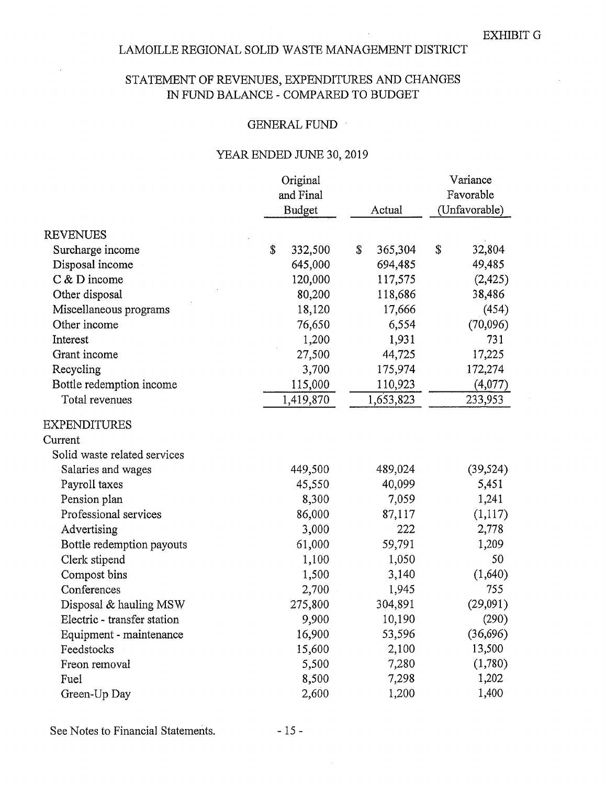# STATEMENT OF REVENUES, EXPENDITURES AND CHANGES IN FUND BALANCE - COMPARED TO BUDGET

#### GENERAL FUND

# YEAR ENDED JUNE 30, 2019

|                              | Original      | Variance      |               |  |  |
|------------------------------|---------------|---------------|---------------|--|--|
|                              | and Final     |               | Favorable     |  |  |
|                              | <b>Budget</b> | Actual        | (Unfavorable) |  |  |
| <b>REVENUES</b>              |               |               |               |  |  |
| Surcharge income             | \$<br>332,500 | \$<br>365,304 | \$<br>32,804  |  |  |
| Disposal income              | 645,000       | 694,485       | 49,485        |  |  |
| $C$ & D income               | 120,000       | 117,575       | (2, 425)      |  |  |
| Other disposal               | 80,200        | 118,686       | 38,486        |  |  |
| Miscellaneous programs       | 18,120        | 17,666        | (454)         |  |  |
| Other income                 | 76,650        | 6,554         | (70,096)      |  |  |
| Interest                     | 1,200         | 1,931         | 731           |  |  |
| Grant income                 | 27,500        | 44,725        | 17,225        |  |  |
| Recycling                    | 3,700         | 175,974       | 172,274       |  |  |
| Bottle redemption income     | 115,000       | 110,923       | (4,077)       |  |  |
| Total revenues               | 1,419,870     | 1,653,823     | 233,953       |  |  |
| <b>EXPENDITURES</b>          |               |               |               |  |  |
| Current                      |               |               |               |  |  |
| Solid waste related services |               |               |               |  |  |
| Salaries and wages           | 449,500       | 489,024       | (39, 524)     |  |  |
| Payroll taxes                | 45,550        | 40,099        | 5,451         |  |  |
| Pension plan                 | 8,300         | 7,059         | 1,241         |  |  |
| Professional services        | 86,000        | 87,117        | (1,117)       |  |  |
| Advertising                  | 3,000         | 222           | 2,778         |  |  |
| Bottle redemption payouts    | 61,000        | 59,791        | 1,209         |  |  |
| Clerk stipend                | 1,100         | 1,050         | 50            |  |  |
| Compost bins                 | 1,500         | 3,140         | (1,640)       |  |  |
| Conferences                  | 2,700         | 1,945         | 755           |  |  |
| Disposal & hauling MSW       | 275,800       | 304,891       | (29,091)      |  |  |
| Electric - transfer station  | 9,900         | 10,190        | (290)         |  |  |
| Equipment - maintenance      | 16,900        | 53,596        | (36,696)      |  |  |
| Feedstocks                   | 15,600        | 2,100         | 13,500        |  |  |
| Freon removal                | 5,500         | 7,280         | (1,780)       |  |  |
| Fuel                         | 8,500         | 7,298         | 1,202         |  |  |
| Green-Up Day                 | 2,600         | 1,200         | 1,400         |  |  |

See Notes to Financial Statements. - 15 -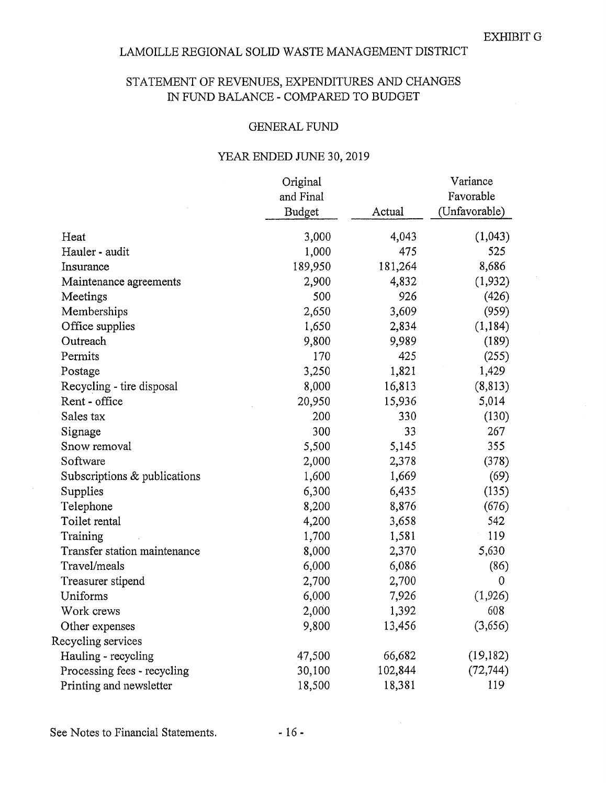# STATEMENT OF REVENUES, EXPENDITURES AND CHANGES IN FUND BALANCE - COMPARED TO BUDGET

# GENERAL FUND

# YEAR ENDED JUNE 30, 2019

|                              | Original      |         | Variance      |
|------------------------------|---------------|---------|---------------|
|                              | and Final     |         | Favorable     |
|                              | <b>Budget</b> | Actual  | (Unfavorable) |
| Heat                         | 3,000         | 4,043   | (1,043)       |
| Hauler - audit               | 1,000         | 475     | 525           |
| Insurance                    | 189,950       | 181,264 | 8,686         |
| Maintenance agreements       | 2,900         | 4,832   | (1, 932)      |
| Meetings                     | 500           | 926     | (426)         |
| Memberships                  | 2,650         | 3,609   | (959)         |
| Office supplies              | 1,650         | 2,834   | (1, 184)      |
| Outreach                     | 9,800         | 9,989   | (189)         |
| Permits                      | 170           | 425     | (255)         |
| Postage                      | 3,250         | 1,821   | 1,429         |
| Recycling - tire disposal    | 8,000         | 16,813  | (8, 813)      |
| Rent - office                | 20,950        | 15,936  | 5,014         |
| Sales tax                    | 200           | 330     | (130)         |
| Signage                      | 300           | 33      | 267           |
| Snow removal                 | 5,500         | 5,145   | 355           |
| Software                     | 2,000         | 2,378   | (378)         |
| Subscriptions & publications | 1,600         | 1,669   | (69)          |
| Supplies                     | 6,300         | 6,435   | (135)         |
| Telephone                    | 8,200         | 8,876   | (676)         |
| Toilet rental                | 4,200         | 3,658   | 542           |
| Training                     | 1,700         | 1,581   | 119           |
| Transfer station maintenance | 8,000         | 2,370   | 5,630         |
| Travel/meals                 | 6,000         | 6,086   | (86)          |
| Treasurer stipend            | 2,700         | 2,700   | 0             |
| Uniforms                     | 6,000         | 7,926   | (1, 926)      |
| Work crews                   | 2,000         | 1,392   | 608           |
| Other expenses               | 9,800         | 13,456  | (3,656)       |
| Recycling services           |               |         |               |
| Hauling - recycling          | 47,500        | 66,682  | (19, 182)     |
| Processing fees - recycling  | 30,100        | 102,844 | (72, 744)     |
| Printing and newsletter      | 18,500        | 18,381  | 119           |

See Notes to Financial Statements.  $\sim 16$  -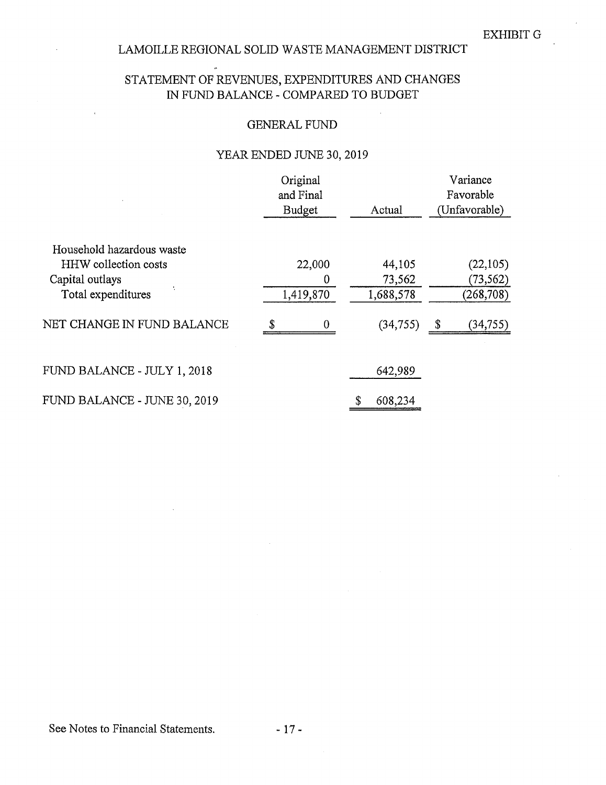$\ddot{\phantom{a}}$ 

# STATEMENT OF REVENUES, EXPENDITURES AND CHANGES IN FUND BALANCE - COMPARED TO BUDGET

#### GENERAL FUND

# YEAR ENDED JUNE 30, 2019

|                              | Original<br>and Final<br>Budget |           |    | Actual    | Variance<br>Favorable<br>(Unfavorable) |  |
|------------------------------|---------------------------------|-----------|----|-----------|----------------------------------------|--|
| Household hazardous waste    |                                 |           |    |           |                                        |  |
| HHW collection costs         |                                 | 22,000    |    | 44,105    | (22,105)                               |  |
| Capital outlays              |                                 | 0         |    | 73,562    | (73, 562)                              |  |
| Total expenditures           |                                 | 1,419,870 |    | 1,688,578 | (268, 708)                             |  |
| NET CHANGE IN FUND BALANCE   | \$                              | 0         |    | (34, 755) | \$<br>(34,755)                         |  |
| FUND BALANCE - JULY 1, 2018  |                                 |           |    | 642,989   |                                        |  |
| FUND BALANCE - JUNE 30, 2019 |                                 |           | \$ | 608,234   |                                        |  |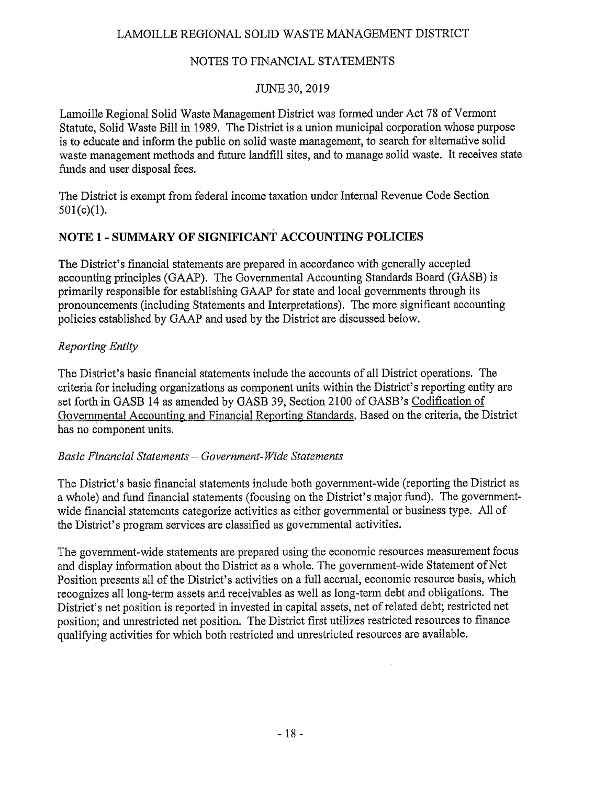### NOTES TO FINANCIAL STATEMENTS

# JUNE 30, 2019

Lamoille Regional Solid Waste Management District was formed under Act 78 of Vermont Statute, Solid Waste Bill in 1989. The District is a union municipal corporation whose purpose is to educate and inform the public on solid waste management, to search for alternative solid waste management methods and future landfill sites, and to manage solid waste. It receives state funds and user disposal fees.

The District is exempt from federal income taxation under Internal Revenue Code Section 501(c)(1).

## NOTE 1 - SUMMARY OF SIGNIFICANT ACCOUNTING POLICIES

The District's financial statements are prepared in accordance with generally accepted accounting principles (GAAP). The Governmental Accounting Standards Board (GASB) is primarily responsible for establishing GAAP for state and local governments through its pronouncements (including Statements and Interpretations). The more significant accounting policies established by GAAP and used by the District are discussed below.

## Reporting Entity

The District's basic financial statements include the accounts of all District operations. The criteria for including organizations as component units within the District's reporting entity are set forth in GASB <sup>14</sup> as amended by GASB 39, Section 2100 of GASB'S Codification of Governmental Accounting and Financial Reporting Standards. Based on the criteria, the District has no component units.

#### Basic Financial Statements – Government- Wide Statements

The District's basic financial statements include both government-wide (reporting the District as a whole) and fund financial statements (focusing on the District's major fund). The governmentwide financial statements categorize activities as either governmental or business type. All of the District's program services are classified as governmental activities.

The government-wide statements are prepared using the economic resources measurement focus and display information about the District as a whole. The government-wide Statement of Net Position presents all of the District's activities on a full accrual, economic resource basis, which recognizes all long-term assets and receivables as well as long-term debt and obligations. The District's net position is reported in invested in capital assets, net of related debt; restricted net position; and unrestricted net position. The District first utilizes restricted resources to finance qualifying activities for which both restricted and unrestricted resources are available.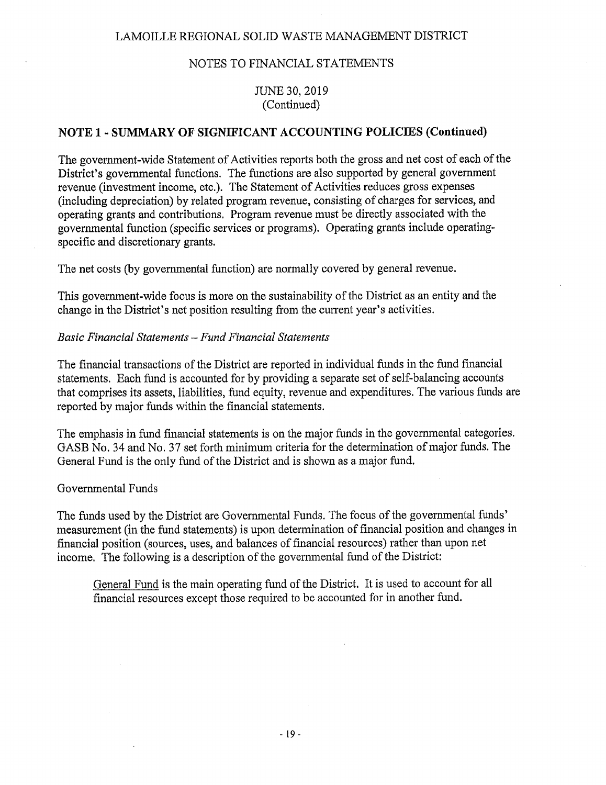#### JUNE 30, 2019 (Continued)

#### NOTE 1 - SUMMARY OF SIGNIFICANT ACCOUNTING POLICIES (Continued)

The government-wide Statement of Activities reports both the gross and net cost of each of the District's governmental functions. The functions are also supported by general government revenue (investment income, etc.). The Statement of Activities reduces gross expenses (including depreciation) by related program revenue, consisting of charges for services, and operating grants and contributions. Program revenue must be directly associated with the governmental function (specific services or programs). Operating grants include operating specific and discretionary grants.

The net costs (by governmental function) are normally covered by general revenue.

This government-wide focus is more on the sustainability of the District as an entity and the change in the District's net position resulting from the current year's activities.

#### Basic Financial Statements  $-$  Fund Financial Statements

The financial transactions of the District are reported in individual funds in the fund financial statements. Each fund is accounted for by providing a separate set of self-balancing accounts that comprises its assets, liabilities, fund equity, revenue and expenditures. The various funds are reported by major funds within the financial statements.

The emphasis in fund financial statements is on the major funds in the governmental categories. GASB No. 34 and No. 37 set forth minimum criteria for the determination of major funds. The General Fund is the only fund of the District and is shown as a major fund.

#### Governmental Funds

The funds used by the District are Governmental Funds. The focus of the governmental funds' measurement (in the fund statements) is upon determination of financial position and changes in financial position (sources, uses, and balances of financial resources) rather than upon net income. The following is a description of the governmental fund of the District:

General Fund is the main operating fund of the District. It is used to account for all financial resources except those required to be accounted for in another fund.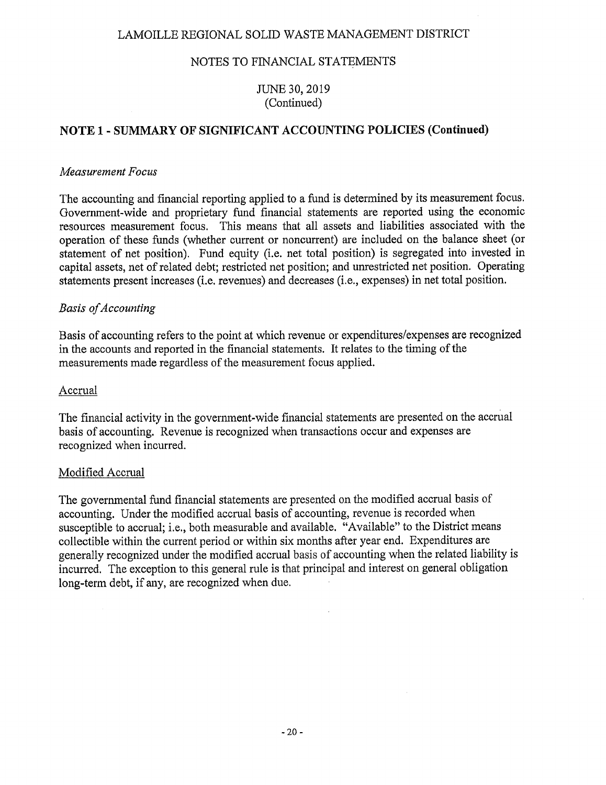### JUNE 30, 2019 (Continued)

# NOTE 1 - SUMMARY OF SIGNIFICANT ACCOUNTING POLICIES (Continued)

#### Measurement Focus

The accounting and financial reporting applied to a fund is determined by its measurement focus. Government-wide and proprietary fund financial statements are reported using the economic resources measurement focus. This means that all assets and liabilities associated with the operation of these funds (whether current or noncurrent) are included on the balance sheet (or statement of net position). Fund equity (*i.e.* net total position) is segregated into invested in capital assets, net of related debt; restricted net position; and unrestricted net position. Operating statements present increases (i.e. revenues) and decreases (i.e., expenses) in net total position.

#### Basis of Accounting

Basis of accounting refers to the point at which revenue or expenditures/expenses are recognized in the accounts and reported in the financial statements. It relates to the timing of the measurements made regardless of the measurement focus applied.

#### Accrual

The financial activity in the government-wide financial statements are presented on the accrual basis of accounting. Revenue is recognized when transactions occur and expenses are recognized when incurred.

#### Modified Accrual

The governmental fund financial statements are presented on the modified accrual basis of accounting. Under the modified accrual basis of accounting, revenue is recorded when susceptible to accrual; i.e., both measurable and available. "Available" to the District means collectible within the current period or within six months after year end. Expenditures are generally recognized under the modified accrual basis of accounting when the related liability is incurred. The exception to this general rule is that principal and interest on general obligation long—term debt, if any, are recognized when due.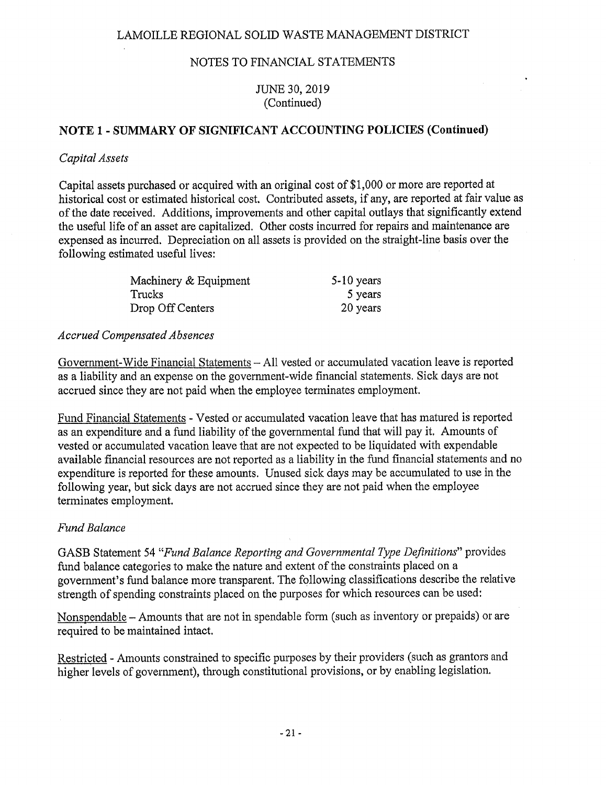#### JUNE 30, 2019 (Continued)

## NOTE 1 - SUMMARY OF SIGNIFICANT ACCOUNTING POLICIES (Continued)

#### Capital Assets

Capital assets purchased or acquired with an original cost of \$1,000 or more are reported at historical cost or estimated historical cost. Contributed assets, if any, are reported at fair value as of the date received. Additions, improvements and other capital outlays that significantly extend the useful life of an asset are capitalized. Other costs incurred for repairs and maintenance are expensed as incurred. Depreciation on all assets is provided on the straight-line basis over the following estimated useful lives:

| Machinery & Equipment | $5-10$ years |
|-----------------------|--------------|
| Trucks                | 5 years      |
| Drop Off Centers      | 20 years     |

#### Accrued Compensated Absences

Government-Wide Financial Statements – All vested or accumulated vacation leave is reported as a liability and an expense on the government-wide financial statements. Sick days are not accrued since they are not paid when the employee terminates employment.

Fund Financial Statements - Vested or accumulated vacation leave that has matured is reported as an expenditure and a fund liability of the governmental fund that Will pay it. Amounts of vested or accumulated vacation leave that are not expected to be liquidated with expendable available financial resources are not reported as a liability in the fund financial statements and no expenditure is reported for these amounts. Unused sick days may be accumulated to use in the following year, but sick days are not accrued since they are not paid when the employee terminates employment.

#### **Fund Balance**

GASB Statement 54 "Fund Balance Reporting and Governmental Type Definitions" provides fund balance categories to make the nature and extent of the constraints placed on a government's fund balance more transparent. The following classifications describe the relative strength of spending constraints placed on the purposes for which resources can be used:

Nonspendable — Amounts that are not in spendable form (such as inventory or prepaids) or are required to be maintained intact.

Restricted - Amounts constrained to specific purposes by their providers (such as grantors and higher levels of government), through constitutional provisions, or by enabling legislation.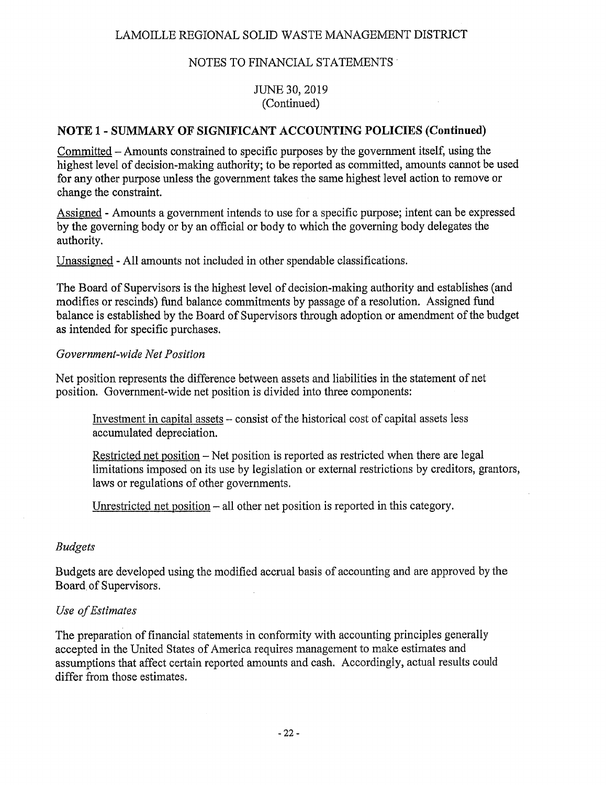## UNE 30, 2019 (Continued)

# NOTE 1 - SUMMARY OF SIGNIFICANT ACCOUNTING POLICIES (Continued)

Committed — Amounts constrained to specific purposes by the government itself, using the highest level of decision-making authority; to be réported as committed, amounts cannot be used for any other purpose unless the government takes the same highest level action to remove or change the constraint.

Assigned - Amounts a government intends to use for a specific purpose; intent can be expressed by the governing body or by an official or body to which the governing body delegates the authority.

Unassigned - A11 amounts not included in other spendable classifications.

The Board of Supervisors is the highest level of decision-making authority and establishes (and modifies or rescinds) fund balance commitments by passage of a resolution. Assigned fund balance is established by the Board of Supervisors through adoption or amendment of the budget as intended for specific purchases.

#### Government—wide Net Position

Net position represents the difference between assets and liabilities in the statement of net position. Government-wide net position is divided into three components:

Investment in capital assets — consist of the historical cost of capital assets less accumulated depreciation.

Restricted net position — Net position is reported as restricted when there are legal limitations imposed on its use by legislation or external restrictions by creditors, grantors, laws or regulations of other governments.

Unrestricted net position – all other net position is reported in this category.

#### Budgets

Budgets are developed using the modified accrual basis of accounting and are approved by the Board, of Supervisors.

#### Use of Estimates

The preparation of financial statements in conformity with accounting principles generally accepted in the United States of America requires management to make estimates and assumptions that affect certain reported amounts and cash. Accordingly, actual results could differ from those estimates.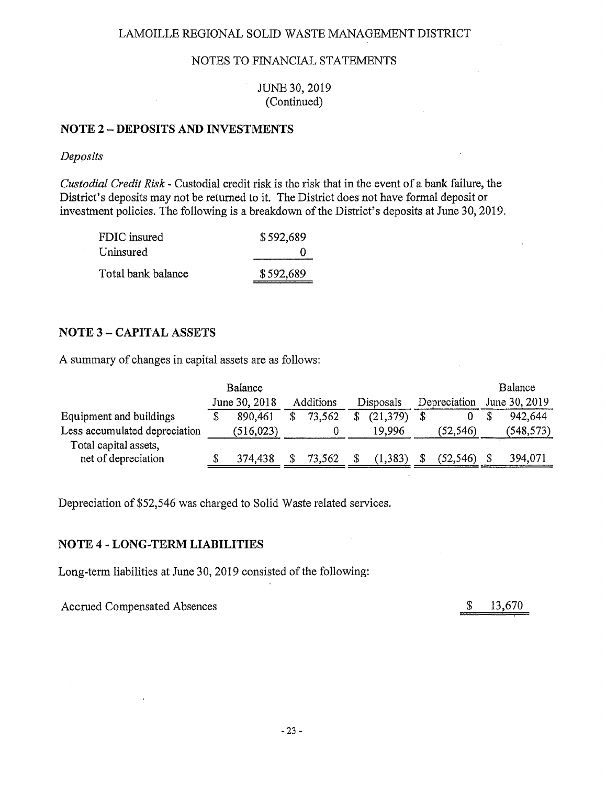#### JUNE 30, 2019 (Continued)

#### NOTE 2 - DEPOSITS AND INVESTMENTS

#### Deposits

Custodial Credit Risk - Custodial credit risk is the risk that in the event of a bank failure, the District's deposits may not be returned to it. The District does not have formal deposit or investment policies. The following is a breakdown of the District's deposits at June 30, 2019.

| FDIC insured       | \$592,689 |  |  |  |  |
|--------------------|-----------|--|--|--|--|
| Uninsured          |           |  |  |  |  |
| Total bank balance | \$592,689 |  |  |  |  |

## **NOTE 3 - CAPITAL ASSETS**

A summary of changes in capital assets are as follows:

|                               | Balance       |           |                 |              | Balance       |
|-------------------------------|---------------|-----------|-----------------|--------------|---------------|
|                               | June 30, 2018 | Additions | Disposals       | Depreciation | June 30, 2019 |
| Equipment and buildings       | 890.461       | 73,562    | \$<br>(21, 379) |              | 942,644       |
| Less accumulated depreciation | (516, 023)    |           | 19.996          | (52,546)     | (548, 573)    |
| Total capital assets,         |               |           |                 |              |               |
| net of depreciation           | 374,438       | 73,562    | (1, 383)        | (52, 546)    | 394,071       |

Depreciation of \$52,546 was charged to Solid Waste related services.

#### NOTE <sup>4</sup> - LONG-TERM LIABILITIES

Long-term liabilities at June 30, 2019 consisted of the following:

Accrued Compensated Absences  $\qquad$  \$ 13,670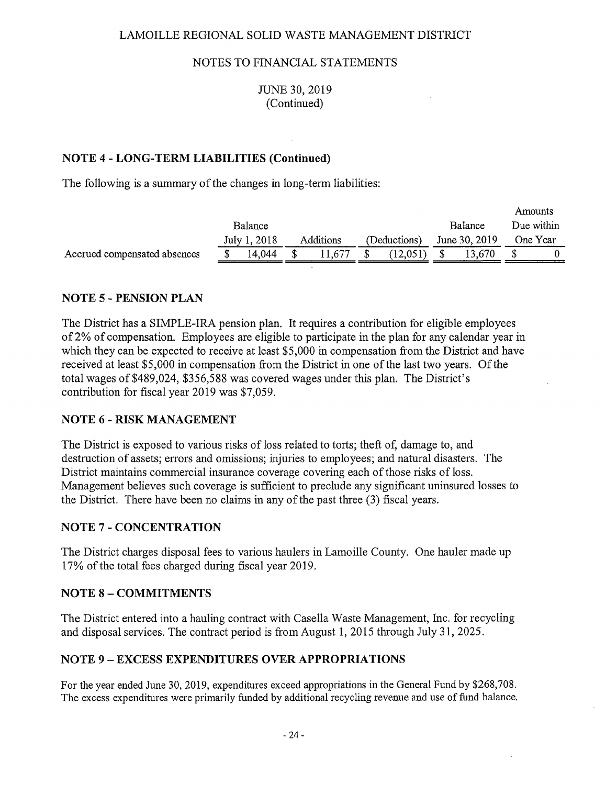#### JUNE 30, 2019 (Continued)

## NOTE 4 - LONG-TERM LIABILITIES (Continued)

The following is a summary of the changes in long-term liabilities:

|                              |              |                  |              |                | типочны    |  |
|------------------------------|--------------|------------------|--------------|----------------|------------|--|
|                              | Balance      |                  |              | <b>Balance</b> | Due within |  |
|                              | July 1, 2018 | <b>Additions</b> | (Deductions) | June 30, 2019  | One Year   |  |
| Accrued compensated absences | 14.044       | 11.677           | (12.051)     | 13.670         |            |  |
|                              |              |                  |              |                |            |  |

Amounts

## **NOTE 5 - PENSION PLAN**

The District has a SIMPLE-IRA pension plan. It requires a contribution for eligible employees of 2% of compensation. Employees are eligible to participate in the plan for any calendar year in Which they can be expected to receive at least \$5,000 in compensation fiom the District and have received at least \$5,000 in compensation fiom the District in one of the last two years. Ofthe total wages of \$489,024, \$356,588 was covered wages under this plan. The District's contribution for fiscal year 2019 was \$7,059.

#### NOTE 6 - RISK MANAGEMENT

The District is exposed to various risks of loss related to tons; theft of, damage to, and destruction of assets; errors and omissions; injuries to employees; and natural disasters. The District maintains commercial insurance coverage covering each of those risks of loss. Management believes such coverage is sufficient to preclude any significant uninsured losses to the District. There have been no claims in any of the past three (3) fiscal years.

#### NOTE <sup>7</sup> - CONCENTRATION

The District charges disposal fees to various haulers in Lamoille County. One hauler made up 17% of the total fees charged during fiscal year 2019.

#### NOTE <sup>8</sup> — COMMITMENTS

The District entered into a hauling contract With Casella Waste Management, Inc. for recycling and disposal services. The contract period is from August 1, 2015 through July 31, 2025.

#### NOTE 9 - EXCESS EXPENDITURES OVER APPROPRIATIONS

For the year ended June 30, 2019, expenditures exceed appropriations in the General Fund by \$268,708. The excess expenditures were primarily funded by additional recycling revenue and use of fund balance.